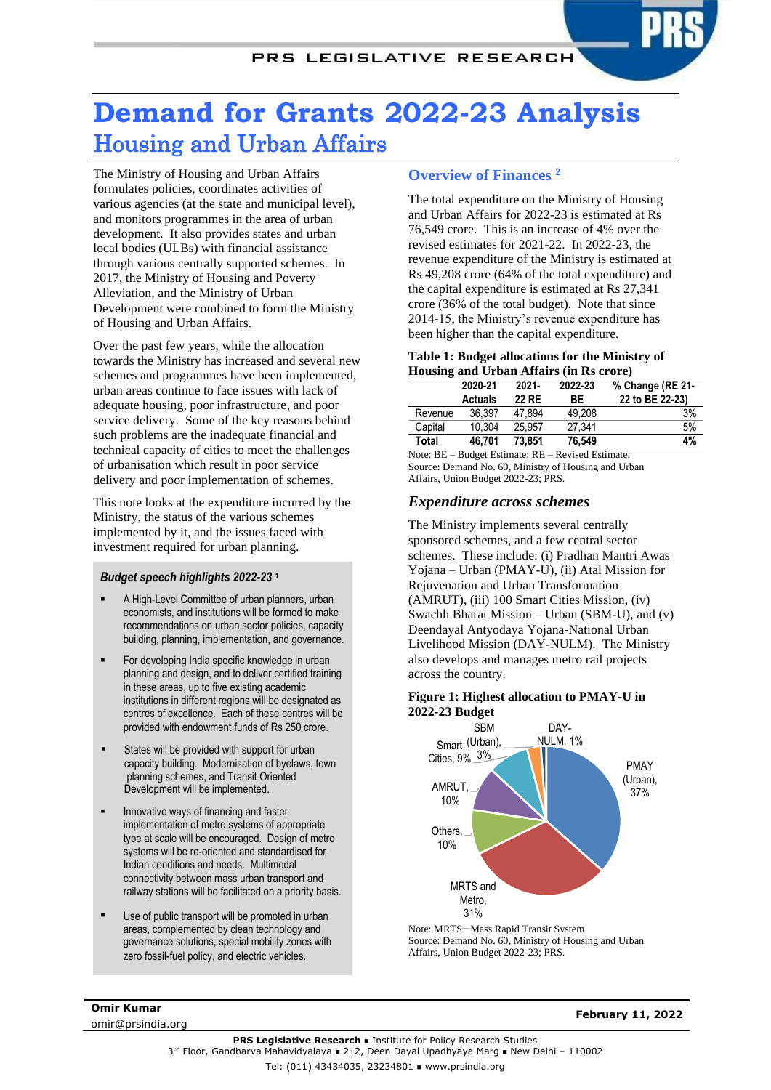# **Demand for Grants 2022-23 Analysis** Housing and Urban Affairs

The Ministry of Housing and Urban Affairs formulates policies, coordinates activities of various agencies (at the state and municipal level), and monitors programmes in the area of urban development. It also provides states and urban local bodies (ULBs) with financial assistance through various centrally supported schemes. In 2017, the Ministry of Housing and Poverty Alleviation, and the Ministry of Urban Development were combined to form the Ministry of Housing and Urban Affairs.

Over the past few years, while the allocation towards the Ministry has increased and several new schemes and programmes have been implemented, urban areas continue to face issues with lack of adequate housing, poor infrastructure, and poor service delivery. Some of the key reasons behind such problems are the inadequate financial and technical capacity of cities to meet the challenges of urbanisation which result in poor service delivery and poor implementation of schemes.

This note looks at the expenditure incurred by the Ministry, the status of the various schemes implemented by it, and the issues faced with investment required for urban planning.

#### *Budget speech highlights 2022-23 <sup>1</sup>*

- A High-Level Committee of urban planners, urban economists, and institutions will be formed to make recommendations on urban sector policies, capacity building, planning, implementation, and governance.
- For developing India specific knowledge in urban planning and design, and to deliver certified training in these areas, up to five existing academic institutions in different regions will be designated as centres of excellence. Each of these centres will be provided with endowment funds of Rs 250 crore.
- States will be provided with support for urban capacity building. Modernisation of byelaws, town planning schemes, and Transit Oriented Development will be implemented.
- Innovative ways of financing and faster implementation of metro systems of appropriate type at scale will be encouraged. Design of metro systems will be re-oriented and standardised for Indian conditions and needs. Multimodal connectivity between mass urban transport and railway stations will be facilitated on a priority basis.
- zero fossil-fuel policy, and electric vehicles. Use of public transport will be promoted in urban areas, complemented by clean technology and governance solutions, special mobility zones with

## **Overview of Finances <sup>2</sup>**

The total expenditure on the Ministry of Housing and Urban Affairs for 2022-23 is estimated at Rs 76,549 crore. This is an increase of 4% over the revised estimates for 2021-22. In 2022-23, the revenue expenditure of the Ministry is estimated at Rs 49,208 crore (64% of the total expenditure) and the capital expenditure is estimated at Rs 27,341 crore (36% of the total budget). Note that since 2014-15, the Ministry's revenue expenditure has been higher than the capital expenditure.

#### **Table 1: Budget allocations for the Ministry of Housing and Urban Affairs (in Rs crore)**

|         | 2020-21<br><b>Actuals</b> | $2021 -$<br>22 RE | 2022-23<br>BE. | % Change (RE 21-<br>22 to BE 22-23) |
|---------|---------------------------|-------------------|----------------|-------------------------------------|
| Revenue | 36.397                    | 47.894            | 49.208         | 3%                                  |
| Capital | 10.304                    | 25.957            | 27.341         | 5%                                  |
| Total   | 46.701                    | 73.851            | 76.549         | 4%                                  |

Note: BE – Budget Estimate; RE – Revised Estimate. Source: Demand No. 60, Ministry of Housing and Urban Affairs, Union Budget 2022-23; PRS.

## *Expenditure across schemes*

The Ministry implements several centrally sponsored schemes, and a few central sector schemes. These include: (i) Pradhan Mantri Awas Yojana – Urban (PMAY-U), (ii) Atal Mission for Rejuvenation and Urban Transformation (AMRUT), (iii) 100 Smart Cities Mission, (iv) Swachh Bharat Mission – Urban (SBM-U), and (v) Deendayal Antyodaya Yojana-National Urban Livelihood Mission (DAY-NULM). The Ministry also develops and manages metro rail projects across the country.

#### **Figure 1: Highest allocation to PMAY-U in 2022-23 Budget**



Note: MRTS-Mass Rapid Transit System. Source: Demand No. 60, Ministry of Housing and Urban Affairs, Union Budget 2022-23; PRS.

**Omir Kumar** omir@prsindia.org

**February 11, 2022**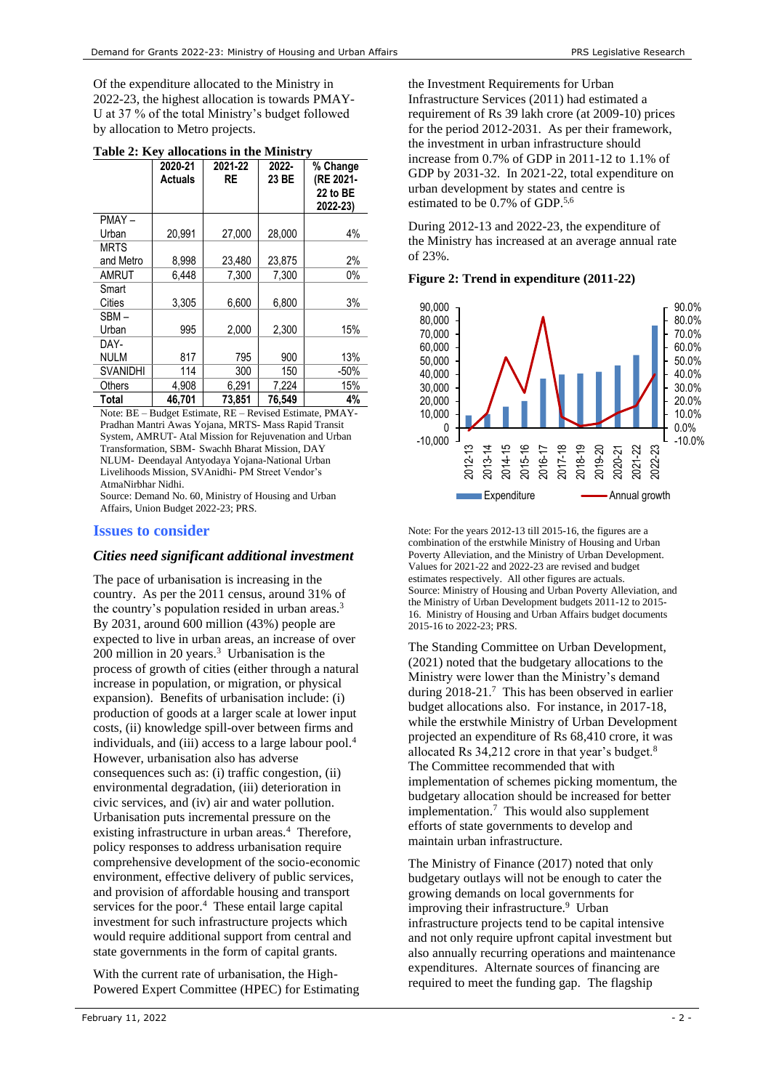Of the expenditure allocated to the Ministry in 2022-23, the highest allocation is towards PMAY-U at 37 % of the total Ministry's budget followed by allocation to Metro projects.

|                 | 2020-21<br><b>Actuals</b> | 2021-22<br><b>RE</b> | 2022-<br>23 BE | % Change<br>(RE 2021-<br>22 to BE<br>2022-23) |
|-----------------|---------------------------|----------------------|----------------|-----------------------------------------------|
| PMAY-           |                           |                      |                |                                               |
| Urban           | 20.991                    | 27,000               | 28,000         | 4%                                            |
| <b>MRTS</b>     |                           |                      |                |                                               |
| and Metro       | 8,998                     | 23,480               | 23.875         | 2%                                            |
| AMRUT           | 6.448                     | 7,300                | 7.300          | 0%                                            |
| Smart           |                           |                      |                |                                               |
| Cities          | 3.305                     | 6,600                | 6,800          | 3%                                            |
| SBM –           |                           |                      |                |                                               |
| Urban           | 995                       | 2,000                | 2,300          | 15%                                           |
| DAY-            |                           |                      |                |                                               |
| <b>NULM</b>     | 817                       | 795                  | 900            | 13%                                           |
| <b>SVANIDHI</b> | 114                       | 300                  | 150            | $-50%$                                        |
| <b>Others</b>   | 4,908                     | 6,291                | 7,224          | 15%                                           |
| Total           | 46.701                    | 73.851               | 76.549         | 4%                                            |

**Table 2: Key allocations in the Ministry**

Note: BE – Budget Estimate, RE – Revised Estimate, PMAY-Pradhan Mantri Awas Yojana, MRTS- Mass Rapid Transit System, AMRUT- Atal Mission for Rejuvenation and Urban Transformation, SBM- Swachh Bharat Mission, DAY NLUM- Deendayal Antyodaya Yojana-National Urban Livelihoods Mission, SVAnidhi- PM Street Vendor's AtmaNirbhar Nidhi.

Source: Demand No. 60, Ministry of Housing and Urban Affairs, Union Budget 2022-23; PRS.

## **Issues to consider**

## *Cities need significant additional investment*

The pace of urbanisation is increasing in the country. As per the 2011 census, around 31% of the country's population resided in urban areas.<sup>3</sup> By 2031, around 600 million (43%) people are expected to live in urban areas, an increase of over 200 million in 20 years.<sup>3</sup> Urbanisation is the process of growth of cities (either through a natural increase in population, or migration, or physical expansion). Benefits of urbanisation include: (i) production of goods at a larger scale at lower input costs, (ii) knowledge spill-over between firms and individuals, and (iii) access to a large labour pool.<sup>4</sup> However, urbanisation also has adverse consequences such as: (i) traffic congestion, (ii) environmental degradation, (iii) deterioration in civic services, and (iv) air and water pollution. Urbanisation puts incremental pressure on the existinginfrastructure in urban areas.<sup>4</sup> Therefore, policy responses to address urbanisation require comprehensive development of the socio-economic environment, effective delivery of public services, and provision of affordable housing and transport services for the poor[.](#page-1-1)<sup>4</sup> These entail large capital investment for such infrastructure projects which would require additional support from central and state governments in the form of capital grants.

With the current rate of urbanisation, the High-Powered Expert Committee (HPEC) for Estimating the Investment Requirements for Urban Infrastructure Services (2011) had estimated a requirement of Rs 39 lakh crore (at 2009-10) prices for the period 2012-2031. As per their framework, the investment in urban infrastructure should increase from 0.7% of GDP in 2011-12 to 1.1% of GDP by 2031-32. In 2021-22, total expenditure on urban development by states and centre is estimated to be 0.7% of GDP. 5,6

During 2012-13 and 2022-23, the expenditure of the Ministry has increased at an average annual rate of 23%.

**Figure 2: Trend in expenditure (2011-22)**



Note: For the years 2012-13 till 2015-16, the figures are a combination of the erstwhile Ministry of Housing and Urban Poverty Alleviation, and the Ministry of Urban Development. Values for 2021-22 and 2022-23 are revised and budget estimates respectively. All other figures are actuals. Source: Ministry of Housing and Urban Poverty Alleviation, and the Ministry of Urban Development budgets 2011-12 to 2015- 16. Ministry of Housing and Urban Affairs budget documents 2015-16 to 2022-23; PRS.

<span id="page-1-2"></span><span id="page-1-1"></span><span id="page-1-0"></span>The Standing Committee on Urban Development, (2021) noted that the budgetary allocations to the Ministry were lower than the Ministry's demand during 2018-21.<sup>7</sup> This has been observed in earlier budget allocations also. For instance, in 2017-18, while the erstwhile Ministry of Urban Development projected an expenditure of Rs 68,410 crore, it was allocated Rs 34,212 crore in that year's budget.<sup>8</sup> The Committee recommended that with implementation of schemes picking momentum, the budgetary allocation should be increased for better implementatio[n.](#page-1-2)<sup>7</sup> This would also supplement efforts of state governments to develop and maintain urban infrastructure.

The Ministry of Finance (2017) noted that only budgetary outlays will not be enough to cater the growing demands on local governments for improving their infrastructure.<sup>9</sup> Urban infrastructure projects tend to be capital intensive and not only require upfront capital investment but also annually recurring operations and maintenance expenditures. Alternate sources of financing are required to meet the funding gap. The flagship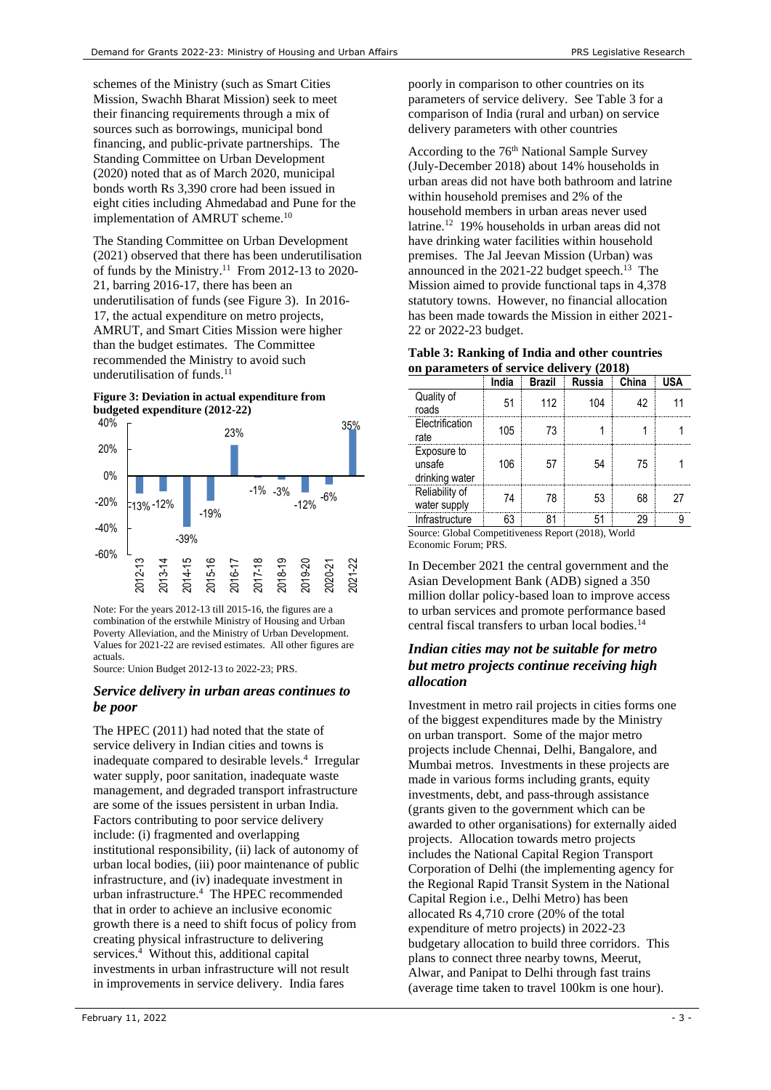schemes of the Ministry (such as Smart Cities Mission, Swachh Bharat Mission) seek to meet their financing requirements through a mix of sources such as borrowings, municipal bond financing, and public-private partnerships. The Standing Committee on Urban Development (2020) noted that as of March 2020, municipal bonds worth Rs 3,390 crore had been issued in eight cities including Ahmedabad and Pune for the implementation of AMRUT scheme.<sup>10</sup>

<span id="page-2-1"></span>The Standing Committee on Urban Development (2021) observed that there has been underutilisation of funds by the Ministry.<sup>11</sup> From 2012-13 to 2020-21, barring 2016-17, there has been an underutilisation of funds (see [Figure 3\)](#page-2-0). In 2016- 17, the actual expenditure on metro projects, AMRUT, and Smart Cities Mission were higher than the budget estimates. The Committee recommended the Ministry to avoid such underutilisation of funds. $^{11}$  $^{11}$  $^{11}$ 

#### <span id="page-2-0"></span>**Figure 3: Deviation in actual expenditure from budgeted expenditure (2012-22)**



Note: For the years 2012-13 till 2015-16, the figures are a combination of the erstwhile Ministry of Housing and Urban Poverty Alleviation, and the Ministry of Urban Development. Values for 2021-22 are revised estimates. All other figures are actuals.

Source: Union Budget 2012-13 to 2022-23; PRS.

## *Service delivery in urban areas continues to be poor*

The HPEC (2011) had noted that the state of service delivery in Indian cities and towns is inadequate compared to desirable levels[.](#page-1-1)<sup>4</sup> Irregular water supply, poor sanitation, inadequate waste management, and degraded transport infrastructure are some of the issues persistent in urban India. Factors contributing to poor service delivery include: (i) fragmented and overlapping institutional responsibility, (ii) lack of autonomy of urban local bodies, (iii) poor maintenance of public infrastructure, and (iv) inadequate investment in urban infrastructur[e.](#page-1-1) 4 The HPEC recommended that in order to achieve an inclusive economic growth there is a need to shift focus of policy from creating physical infrastructure to delivering service[s.](#page-1-1) 4 Without this, additional capital investments in urban infrastructure will not result in improvements in service delivery. India fares

poorly in comparison to other countries on its parameters of service delivery. Se[e Table 3](#page-2-2) for a comparison of India (rural and urban) on service delivery parameters with other countries

<span id="page-2-3"></span>According to the 76<sup>th</sup> National Sample Survey (July-December 2018) about 14% households in urban areas did not have both bathroom and latrine within household premises and 2% of the household members in urban areas never used latrine.<sup>12</sup> 19% households in urban areas did not have drinking water facilities within household premises. The Jal Jeevan Mission (Urban) was announced in the  $2021-22$  budget speech.<sup>13</sup> The Mission aimed to provide functional taps in 4,378 statutory towns. However, no financial allocation has been made towards the Mission in either 2021- 22 or 2022-23 budget.

<span id="page-2-2"></span>

| Table 3: Ranking of India and other countries |
|-----------------------------------------------|
| on parameters of service delivery (2018)      |

|                                         | India | <b>Brazil</b> | Russia | China | USA |
|-----------------------------------------|-------|---------------|--------|-------|-----|
| Quality of<br>roads                     | 51    | 112           | 104    | 42    |     |
| Electrification<br>rate                 | 105   | 73            |        |       |     |
| Exposure to<br>unsafe<br>drinking water | 106   | 5/            | 54     | 75    |     |
| Reliability of<br>water supply          | 74    | 78            | 53     | 68    |     |
| Infrastructure                          | 63    |               | 51     | 29    |     |

Source: Global Competitiveness Report (2018), World Economic Forum; PRS.

In December 2021 the central government and the Asian Development Bank (ADB) signed a 350 million dollar policy-based loan to improve access to urban services and promote performance based central fiscal transfers to urban local bodies.<sup>14</sup>

## *Indian cities may not be suitable for metro but metro projects continue receiving high allocation*

Investment in metro rail projects in cities forms one of the biggest expenditures made by the Ministry on urban transport. Some of the major metro projects include Chennai, Delhi, Bangalore, and Mumbai metros. Investments in these projects are made in various forms including grants, equity investments, debt, and pass-through assistance (grants given to the government which can be awarded to other organisations) for externally aided projects. Allocation towards metro projects includes the National Capital Region Transport Corporation of Delhi (the implementing agency for the Regional Rapid Transit System in the National Capital Region i.e., Delhi Metro) has been allocated Rs 4,710 crore (20% of the total expenditure of metro projects) in 2022-23 budgetary allocation to build three corridors. This plans to connect three nearby towns, Meerut, Alwar, and Panipat to Delhi through fast trains (average time taken to travel 100km is one hour).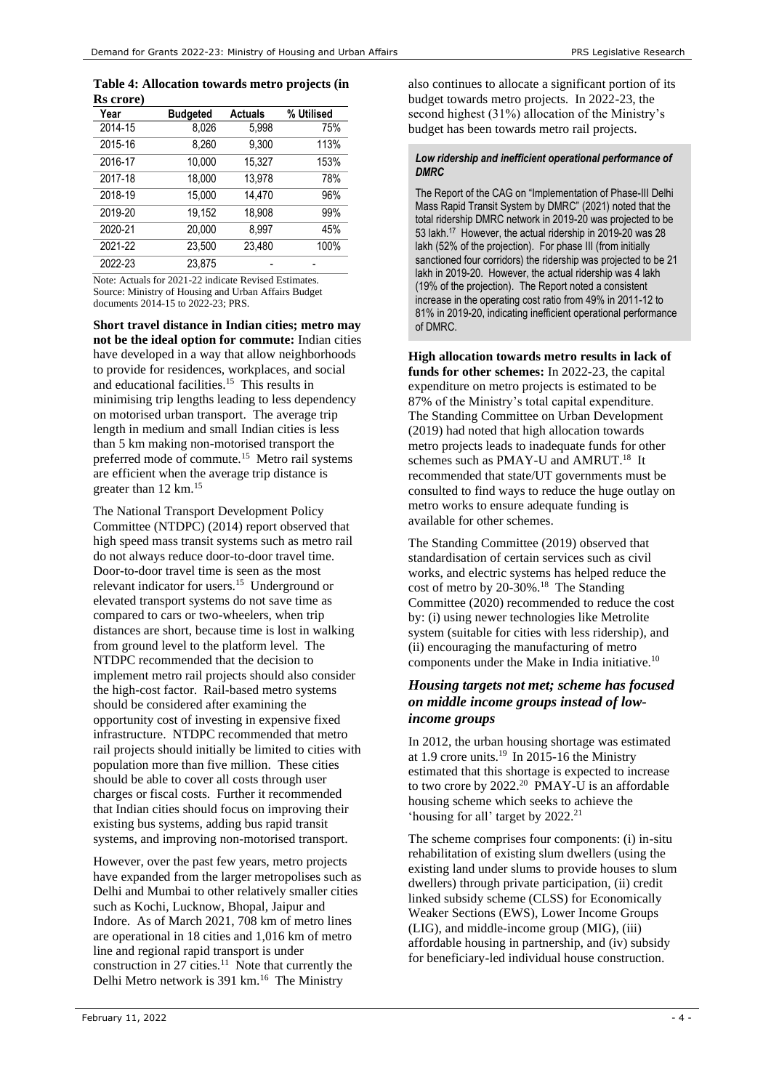#### **Table 4: Allocation towards metro projects (in Rs crore)**

| Year    | <b>Budgeted</b> | <b>Actuals</b> | % Utilised |
|---------|-----------------|----------------|------------|
| 2014-15 | 8,026           | 5,998          | 75%        |
| 2015-16 | 8,260           | 9,300          | 113%       |
| 2016-17 | 10,000          | 15,327         | 153%       |
| 2017-18 | 18,000          | 13.978         | 78%        |
| 2018-19 | 15,000          | 14.470         | 96%        |
| 2019-20 | 19,152          | 18,908         | 99%        |
| 2020-21 | 20.000          | 8.997          | 45%        |
| 2021-22 | 23,500          | 23,480         | 100%       |
| 2022-23 | 23,875          |                |            |

Note: Actuals for 2021-22 indicate Revised Estimates. Source: Ministry of Housing and Urban Affairs Budget documents 2014-15 to 2022-23; PRS.

<span id="page-3-0"></span>**Short travel distance in Indian cities; metro may not be the ideal option for commute:** Indian cities have developed in a way that allow neighborhoods to provide for residences, workplaces, and social and educational facilities.<sup>15</sup> This results in minimising trip lengths leading to less dependency on motorised urban transport. The average trip length in medium and small Indian cities is less than 5 km making non-motorised transport the preferred mode of commute.<sup>[15](#page-3-0)</sup> Metro rail systems are efficient when the average trip distance is greater than 12 km.[15](#page-3-0)

The National Transport Development Policy Committee (NTDPC) (2014) report observed that high speed mass transit systems such as metro rail do not always reduce door-to-door travel time. Door-to-door travel time is seen as the most relevant indicator for users.<sup>[15](#page-3-0)</sup> Underground or elevated transport systems do not save time as compared to cars or two-wheelers, when trip distances are short, because time is lost in walking from ground level to the platform level. The NTDPC recommended that the decision to implement metro rail projects should also consider the high-cost factor. Rail-based metro systems should be considered after examining the opportunity cost of investing in expensive fixed infrastructure. NTDPC recommended that metro rail projects should initially be limited to cities with population more than five million. These cities should be able to cover all costs through user charges or fiscal costs. Further it recommended that Indian cities should focus on improving their existing bus systems, adding bus rapid transit systems, and improving non-motorised transport.

However, over the past few years, metro projects have expanded from the larger metropolises such as Delhi and Mumbai to other relatively smaller cities such as Kochi, Lucknow, Bhopal, Jaipur and Indore. As of March 2021, 708 km of metro lines are operational in 18 cities and 1,016 km of metro line and regional rapid transport is under construction in  $27$  cities.<sup>[11](#page-2-1)</sup> Note that currently the Delhi Metro network is 391 km.<sup>16</sup> The Ministry

also continues to allocate a significant portion of its budget towards metro projects. In 2022-23, the second highest (31%) allocation of the Ministry's budget has been towards metro rail projects.

#### *Low ridership and inefficient operational performance of DMRC*

The Report of the CAG on "Implementation of Phase-III Delhi Mass Rapid Transit System by DMRC" (2021) noted that the total ridership DMRC network in 2019-20 was projected to be 53 lakh.<sup>17</sup> However, the actual ridership in 2019-20 was 28 lakh (52% of the projection). For phase III (from initially sanctioned four corridors) the ridership was projected to be 21 lakh in 2019-20. However, the actual ridership was 4 lakh (19% of the projection). The Report noted a consistent increase in the operating cost ratio from 49% in 2011-12 to 81% in 2019-20, indicating inefficient operational performance of DMRC.

**High allocation towards metro results in lack of funds for other schemes:** In 2022-23, the capital expenditure on metro projects is estimated to be 87% of the Ministry's total capital expenditure. The Standing Committee on Urban Development (2019) had noted that high allocation towards metro projects leads to inadequate funds for other schemes such as PMAY-U and AMRUT.<sup>18</sup> It recommended that state/UT governments must be consulted to find ways to reduce the huge outlay on metro works to ensure adequate funding is available for other schemes.

<span id="page-3-1"></span>The Standing Committee (2019) observed that standardisation of certain services such as civil works, and electric systems has helped reduce the cost of metro by 20-30%.[18](#page-3-1) The Standing Committee (2020) recommended to reduce the cost by: (i) using newer technologies like Metrolite system (suitable for cities with less ridership), and (ii) encouraging the manufacturing of metro components under the Make in India initiative. [10](#page-2-3)

## *Housing targets not met; scheme has focused on middle income groups instead of lowincome groups*

In 2012, the urban housing shortage was estimated at 1.9 crore units.<sup>19</sup> In 2015-16 the Ministry estimated that this shortage is expected to increase to two crore by  $2022.^{20}$  PMAY-U is an affordable housing scheme which seeks to achieve the 'housing for all' target by 2022.<sup>21</sup>

The scheme comprises four components: (i) in-situ rehabilitation of existing slum dwellers (using the existing land under slums to provide houses to slum dwellers) through private participation, (ii) credit linked subsidy scheme (CLSS) for Economically Weaker Sections (EWS), Lower Income Groups (LIG), and middle-income group (MIG), (iii) affordable housing in partnership, and (iv) subsidy for beneficiary-led individual house construction.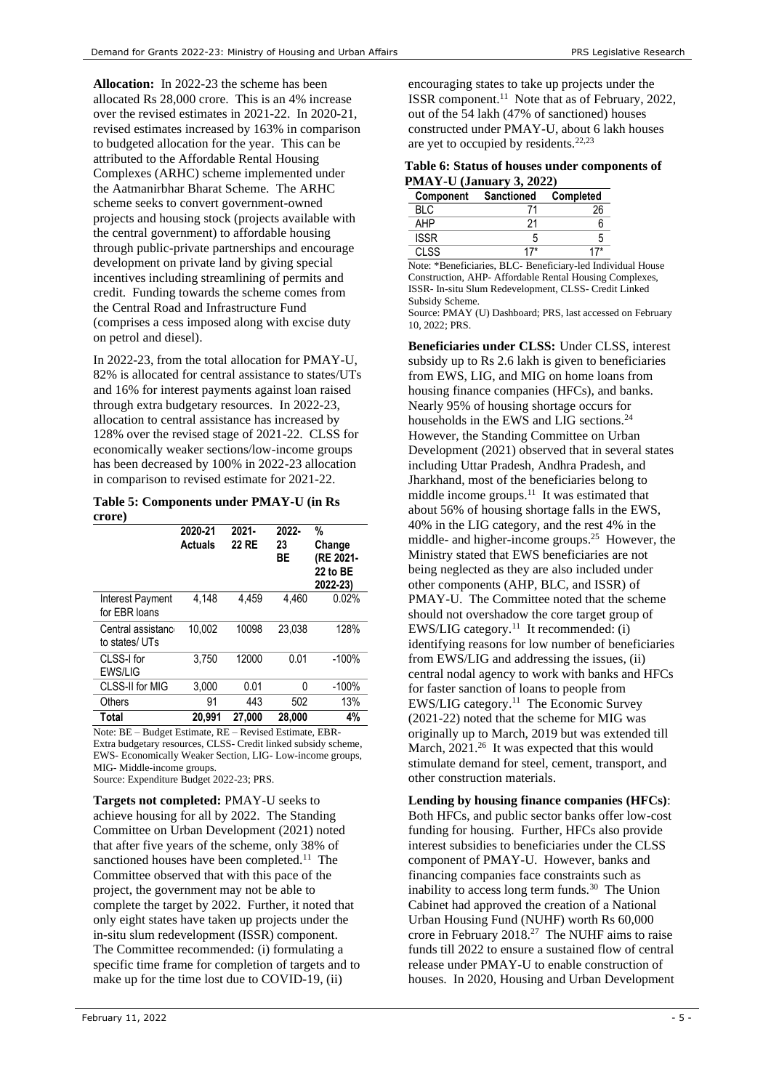**Allocation:** In 2022-23 the scheme has been allocated Rs 28,000 crore. This is an 4% increase over the revised estimates in 2021-22. In 2020-21, revised estimates increased by 163% in comparison to budgeted allocation for the year. This can be attributed to the Affordable Rental Housing Complexes (ARHC) scheme implemented under the Aatmanirbhar Bharat Scheme. The ARHC scheme seeks to convert government-owned projects and housing stock (projects available with the central government) to affordable housing through public-private partnerships and encourage development on private land by giving special incentives including streamlining of permits and credit. Funding towards the scheme comes from the Central Road and Infrastructure Fund (comprises a cess imposed along with excise duty on petrol and diesel).

In 2022-23, from the total allocation for PMAY-U, 82% is allocated for central assistance to states/UTs and 16% for interest payments against loan raised through extra budgetary resources. In 2022-23, allocation to central assistance has increased by 128% over the revised stage of 2021-22. CLSS for economically weaker sections/low-income groups has been decreased by 100% in 2022-23 allocation in comparison to revised estimate for 2021-22.

**Table 5: Components under PMAY-U (in Rs crore)**

|                                    | 2020-21<br><b>Actuals</b> | $2021 -$<br><b>22 RE</b> | 2022-<br>23<br>ВE | %<br>Change<br>(RE 2021-<br>22 to BE<br>2022-23) |
|------------------------------------|---------------------------|--------------------------|-------------------|--------------------------------------------------|
| Interest Payment<br>for EBR loans  | 4,148                     | 4.459                    | 4.460             | 0.02%                                            |
| Central assistanc<br>to states/UTs | 10.002                    | 10098                    | 23.038            | 128%                                             |
| CLSS-I for<br>EWS/LIG              | 3.750                     | 12000                    | 0.01              | $-100%$                                          |
| CLSS-II for MIG                    | 3,000                     | 0.01                     | O                 | $-100%$                                          |
| Others                             | 91                        | 443                      | 502               | 13%                                              |
| Total                              | 20.991                    | 27,000                   | 28.000            | 4%                                               |

Note: BE – Budget Estimate, RE – Revised Estimate, EBR-Extra budgetary resources, CLSS- Credit linked subsidy scheme, EWS- Economically Weaker Section, LIG- Low-income groups, MIG- Middle-income groups.

Source: Expenditure Budget 2022-23; PRS.

**Targets not completed:** PMAY-U seeks to achieve housing for all by 2022. The Standing Committee on Urban Development (2021) noted that after five years of the scheme, only 38% of sanctioned houses have been completed.<sup>[11](#page-2-1)</sup> The Committee observed that with this pace of the project, the government may not be able to complete the target by 2022. Further, it noted that only eight states have taken up projects under the in-situ slum redevelopment (ISSR) component. The Committee recommended: (i) formulating a specific time frame for completion of targets and to make up for the time lost due to COVID-19, (ii)

encouraging states to take up projects under the ISSR component.[11](#page-2-1) Note that as of February, 2022, out of the 54 lakh (47% of sanctioned) houses constructed under PMAY-U, about 6 lakh houses are yet to occupied by residents.<sup>22,23</sup>

|                                 |  | Table 6: Status of houses under components of |  |
|---------------------------------|--|-----------------------------------------------|--|
| <b>PMAY-U</b> (January 3, 2022) |  |                                               |  |

| Component   | <b>Sanctioned</b> | Completed |
|-------------|-------------------|-----------|
| RI C        |                   |           |
| АНР         |                   |           |
| <b>ISSR</b> |                   |           |
| 71.SS       |                   |           |

Note: \*Beneficiaries, BLC- Beneficiary-led Individual House Construction, AHP- Affordable Rental Housing Complexes, ISSR- In-situ Slum Redevelopment, CLSS- Credit Linked Subsidy Scheme.

Source: PMAY (U) Dashboard; PRS, last accessed on February 10, 2022; PRS.

<span id="page-4-0"></span>**Beneficiaries under CLSS:** Under CLSS, interest subsidy up to Rs 2.6 lakh is given to beneficiaries from EWS, LIG, and MIG on home loans from housing finance companies (HFCs), and banks. Nearly 95% of housing shortage occurs for households in the EWS and LIG sections.<sup>24</sup> However, the Standing Committee on Urban Development (2021) observed that in several states including Uttar Pradesh, Andhra Pradesh, and Jharkhand, most of the beneficiaries belong to middle income groups.<sup>[11](#page-2-1)</sup> It was estimated that about 56% of housing shortage falls in the EWS, 40% in the LIG category, and the rest 4% in the middle- and higher-income groups.<sup>25</sup> However, the Ministry stated that EWS beneficiaries are not being neglected as they are also included under other components (AHP, BLC, and ISSR) of PMAY-U. The Committee noted that the scheme should not overshadow the core target group of  $EWS/LIG$  category.<sup>[11](#page-2-1)</sup> It recommended: (i) identifying reasons for low number of beneficiaries from EWS/LIG and addressing the issues, (ii) central nodal agency to work with banks and HFCs for faster sanction of loans to people from  $EWS/LIG$  category.<sup>[11](#page-2-1)</sup> The Economic Survey (2021-22) noted that the scheme for MIG was originally up to March, 2019 but was extended till March, 2021.<sup>26</sup> It was expected that this would stimulate demand for steel, cement, transport, and other construction materials.

**Lending by housing finance companies (HFCs)**: Both HFCs, and public sector banks offer low-cost funding for housing. Further, HFCs also provide interest subsidies to beneficiaries under the CLSS component of PMAY-U. However, banks and financing companies face constraints such as inability to access long term funds.<sup>[30](#page-5-0)</sup> The Union Cabinet had approved the creation of a National Urban Housing Fund (NUHF) worth Rs 60,000 crore in February 2018.<sup>27</sup> The NUHF aims to raise funds till 2022 to ensure a sustained flow of central release under PMAY-U to enable construction of houses. In 2020, Housing and Urban Development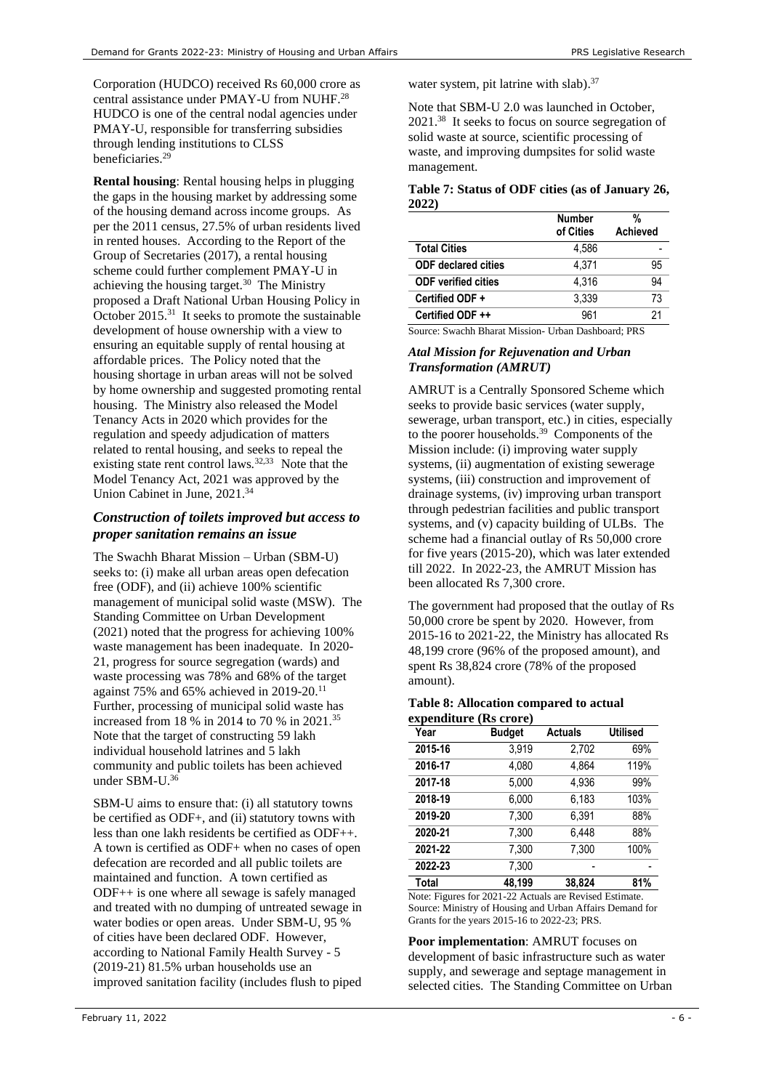Corporation (HUDCO) received Rs 60,000 crore as central assistance under PMAY-U from NUHF. 28 HUDCO is one of the central nodal agencies under PMAY-U, responsible for transferring subsidies through lending institutions to CLSS beneficiaries. 29

**Rental housing**: Rental housing helps in plugging the gaps in the housing market by addressing some of the housing demand across income groups. As per the 2011 census, 27.5% of urban residents lived in rented houses. According to the Report of the Group of Secretaries (2017), a rental housing scheme could further complement PMAY-U in achieving the housing target. $30$  The Ministry proposed a Draft National Urban Housing Policy in October 2015.<sup>31</sup> It seeks to promote the sustainable development of house ownership with a view to ensuring an equitable supply of rental housing at affordable prices. The Policy noted that the housing shortage in urban areas will not be solved by home ownership and suggested promoting rental housing. The Ministry also released the Model Tenancy Acts in 2020 which provides for the regulation and speedy adjudication of matters related to rental housing, and seeks to repeal the existing state rent control laws.<sup>32,33</sup> Note that the Model Tenancy Act, 2021 was approved by the Union Cabinet in June, 2021.<sup>34</sup>

## *Construction of toilets improved but access to proper sanitation remains an issue*

The Swachh Bharat Mission – Urban (SBM-U) seeks to: (i) make all urban areas open defecation free (ODF), and (ii) achieve 100% scientific management of municipal solid waste (MSW). The Standing Committee on Urban Development (2021) noted that the progress for achieving 100% waste management has been inadequate. In 2020- 21, progress for source segregation (wards) and waste processing was 78% and 68% of the target against 75% and 65% achieved in 2019-20.<sup>[11](#page-2-1)</sup> Further, processing of municipal solid waste has increased from 18 % in 2014 to 70 % in 2021.<sup>35</sup> Note that the target of constructing 59 lakh individual household latrines and 5 lakh community and public toilets has been achieved under SBM-U. 36

SBM-U aims to ensure that: (i) all statutory towns be certified as ODF+, and (ii) statutory towns with less than one lakh residents be certified as ODF++. A town is certified as ODF+ when no cases of open defecation are recorded and all public toilets are maintained and function. A town certified as ODF++ is one where all sewage is safely managed and treated with no dumping of untreated sewage in water bodies or open areas. Under SBM-U, 95 % of cities have been declared ODF. However, according to National Family Health Survey - 5 (2019-21) 81.5% urban households use an improved sanitation facility (includes flush to piped

water system, pit latrine with slab).<sup>37</sup>

<span id="page-5-1"></span>Note that SBM-U 2.0 was launched in October, 2021.<sup>38</sup> It seeks to focus on source segregation of solid waste at source, scientific processing of waste, and improving dumpsites for solid waste management.

#### **Table 7: Status of ODF cities (as of January 26, 2022)**

|                            | <b>Number</b><br>of Cities | %<br><b>Achieved</b> |
|----------------------------|----------------------------|----------------------|
| <b>Total Cities</b>        | 4.586                      |                      |
| <b>ODF</b> declared cities | 4.371                      | 95                   |
| <b>ODF</b> verified cities | 4.316                      | 94                   |
| Certified ODF +            | 3.339                      | 73                   |
| Certified ODF ++           | 961                        | 21                   |

<span id="page-5-0"></span>Source: Swachh Bharat Mission- Urban Dashboard; PRS

#### *Atal Mission for Rejuvenation and Urban Transformation (AMRUT)*

AMRUT is a Centrally Sponsored Scheme which seeks to provide basic services (water supply, sewerage, urban transport, etc.) in cities, especially to the poorer households.<sup>39</sup> Components of the Mission include: (i) improving water supply systems, (ii) augmentation of existing sewerage systems, (iii) construction and improvement of drainage systems, (iv) improving urban transport through pedestrian facilities and public transport systems, and (v) capacity building of ULBs. The scheme had a financial outlay of Rs 50,000 crore for five years (2015-20), which was later extended till 2022. In 2022-23, the AMRUT Mission has been allocated Rs 7,300 crore.

The government had proposed that the outlay of Rs 50,000 crore be spent by 2020. However, from 2015-16 to 2021-22, the Ministry has allocated Rs 48,199 crore (96% of the proposed amount), and spent Rs 38,824 crore (78% of the proposed amount).

#### **Table 8: Allocation compared to actual expenditure (Rs crore)**

| Year    | <b>Budget</b> | <b>Actuals</b> | <b>Utilised</b> |
|---------|---------------|----------------|-----------------|
| 2015-16 | 3,919         | 2,702          | 69%             |
| 2016-17 | 4,080         | 4.864          | 119%            |
| 2017-18 | 5,000         | 4,936          | 99%             |
| 2018-19 | 6,000         | 6.183          | 103%            |
| 2019-20 | 7,300         | 6,391          | 88%             |
| 2020-21 | 7,300         | 6.448          | 88%             |
| 2021-22 | 7,300         | 7,300          | 100%            |
| 2022-23 | 7,300         |                |                 |
| Total   | 48.199        | 38.824         | 81%             |

Note: Figures for 2021-22 Actuals are Revised Estimate. Source: Ministry of Housing and Urban Affairs Demand for Grants for the years 2015-16 to 2022-23; PRS.

**Poor implementation**: AMRUT focuses on development of basic infrastructure such as water supply, and sewerage and septage management in selected cities. The Standing Committee on Urban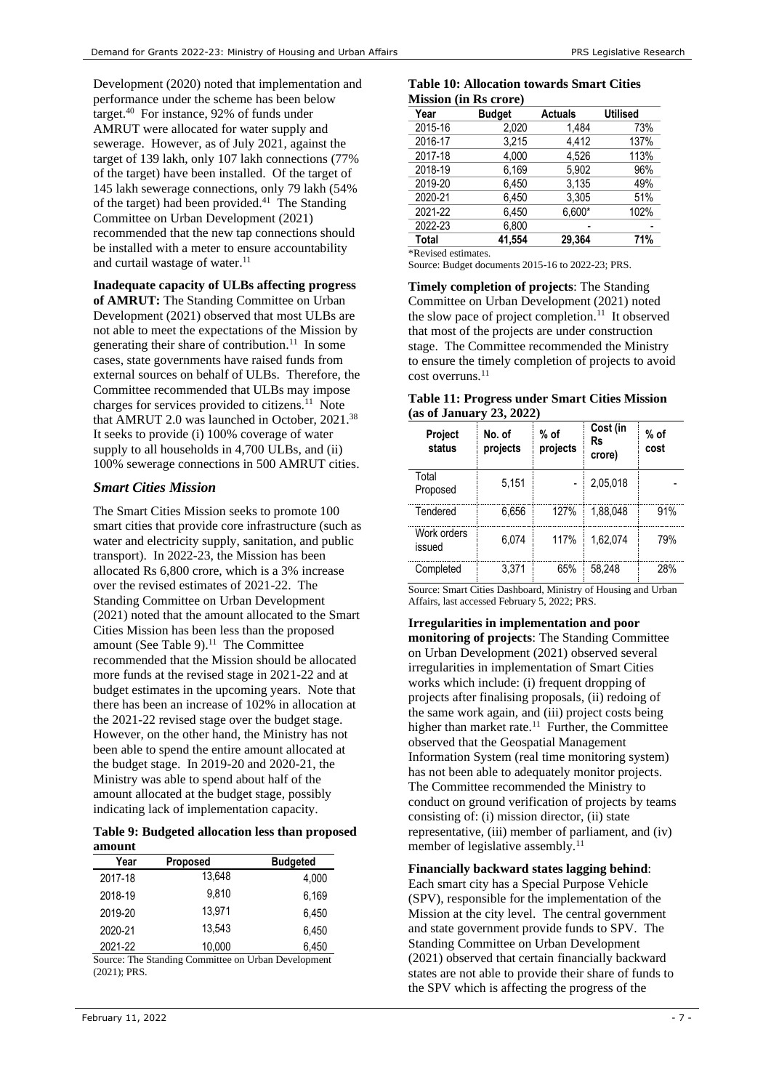Development (2020) noted that implementation and performance under the scheme has been below target.<sup>40</sup> For instance, 92% of funds under AMRUT were allocated for water supply and sewerage. [However,](http://164.100.24.220/loksabhaquestions/annex/176/AU1760.pdf) as of July 2021, against the target of 139 lakh, only 107 lakh connections (77% of the target) have been installed. Of the target of 145 lakh sewerage connections, only 79 lakh (54% of the target) had been provided. 41 The Standing Committee on Urban Development (2021) recommended that the new tap connections should be installed with a meter to ensure accountability and curtail wastage of water. [11](#page-2-1)

**Inadequate capacity of ULBs affecting progress** 

**of AMRUT:** The Standing Committee on Urban Development (2021) observed that most ULBs are not able to meet the expectations of the Mission by generating their share of contribution.<sup>[11](#page-2-1)</sup> In some cases, state governments have raised funds from external sources on behalf of ULBs. Therefore, the Committee recommended that ULBs may impose charges for services provided to citizens.<sup>[11](#page-2-1)</sup> Note that AMRUT 2.0 was launched in October, 2021. [38](#page-5-1) It seeks to provide (i) 100% coverage of water supply to all households in 4,700 ULBs, and (ii) 100% sewerage connections in 500 AMRUT cities.

## *Smart Cities Mission*

The Smart Cities Mission seeks to promote 100 smart cities that provide core infrastructure (such as water and electricity supply, sanitation, and public transport). In 2022-23, the Mission has been allocated Rs 6,800 crore, which is a 3% increase over the revised estimates of 2021-22. The Standing Committee on Urban Development (2021) noted that the amount allocated to the Smart Cities Mission has been less than the proposed amount (See [Table 9\)](#page-6-0). $11$  The Committee recommended that the Mission should be allocated more funds at the revised stage in 2021-22 and at budget estimates in the upcoming years. Note that there has been an increase of 102% in allocation at the 2021-22 revised stage over the budget stage. However, on the other hand, the Ministry has not been able to spend the entire amount allocated at the budget stage. In 2019-20 and 2020-21, the Ministry was able to spend about half of the amount allocated at the budget stage, possibly indicating lack of implementation capacity.

#### <span id="page-6-0"></span>**Table 9: Budgeted allocation less than proposed amount**

| Year    | <b>Proposed</b> | <b>Budgeted</b> |
|---------|-----------------|-----------------|
| 2017-18 | 13.648          | 4,000           |
| 2018-19 | 9.810           | 6,169           |
| 2019-20 | 13.971          | 6.450           |
| 2020-21 | 13.543          | 6.450           |
| 2021-22 | 10,000          | 6,450           |

Source: The Standing Committee on Urban Development (2021); PRS.

#### **Table 10: Allocation towards Smart Cities Mission (in Rs crore)**

|              | мізялі уш тэ сгоге) |                |                 |
|--------------|---------------------|----------------|-----------------|
| Year         | <b>Budget</b>       | <b>Actuals</b> | <b>Utilised</b> |
| 2015-16      | 2,020               | 1.484          | 73%             |
| 2016-17      | 3.215               | 4.412          | 137%            |
| 2017-18      | 4.000               | 4.526          | 113%            |
| 2018-19      | 6,169               | 5.902          | 96%             |
| 2019-20      | 6.450               | 3.135          | 49%             |
| 2020-21      | 6.450               | 3.305          | 51%             |
| 2021-22      | 6,450               | 6,600*         | 102%            |
| 2022-23      | 6,800               |                |                 |
| <b>Total</b> | 41.554              | 29.364         | 71%             |

\*Revised estimates.

Source: Budget documents 2015-16 to 2022-23; PRS.

**Timely completion of projects**: The Standing Committee on Urban Development (2021) noted the slow pace of project completion. $11$  It observed that most of the projects are under construction stage. The Committee recommended the Ministry to ensure the timely completion of projects to avoid cost overruns.<sup>[11](#page-2-1)</sup>

**Table 11: Progress under Smart Cities Mission (as of January 23, 2022)**

| Project<br>status     | No. of<br>projects | $%$ of<br>projects | Cost (in<br>Rs<br>crore) | $%$ of<br>cost |
|-----------------------|--------------------|--------------------|--------------------------|----------------|
| Total<br>Proposed     | 5,151              |                    | 2.05.018                 |                |
| Tendered              | 6.656              | 127%               | 1.88.048                 | 91%            |
| Work orders<br>issued | 6.074              | 117%               | 1.62.074                 | 79%            |
| Completed             | 3.371              | 65%                | 58.248                   | 28%            |

Source: Smart Cities Dashboard, Ministry of Housing and Urban Affairs, last accessed February 5, 2022; PRS.

**Irregularities in implementation and poor monitoring of projects**: The Standing Committee on Urban Development (2021) observed several irregularities in implementation of Smart Cities works which include: (i) frequent dropping of projects after finalising proposals, (ii) redoing of the same work again, and (iii) project costs being higher than market rate.<sup>[11](#page-2-1)</sup> Further, the Committee observed that the Geospatial Management Information System (real time monitoring system) has not been able to adequately monitor projects. The Committee recommended the Ministry to conduct on ground verification of projects by teams consisting of: (i) mission director, (ii) state representative, (iii) member of parliament, and (iv) member of legislative assembly.<sup>[11](#page-2-1)</sup>

**Financially backward states lagging behind**:

Each smart city has a Special Purpose Vehicle (SPV), responsible for the implementation of the Mission at the city level. The central government and state government provide funds to SPV. The Standing Committee on Urban Development (2021) observed that certain financially backward states are not able to provide their share of funds to the SPV which is affecting the progress of the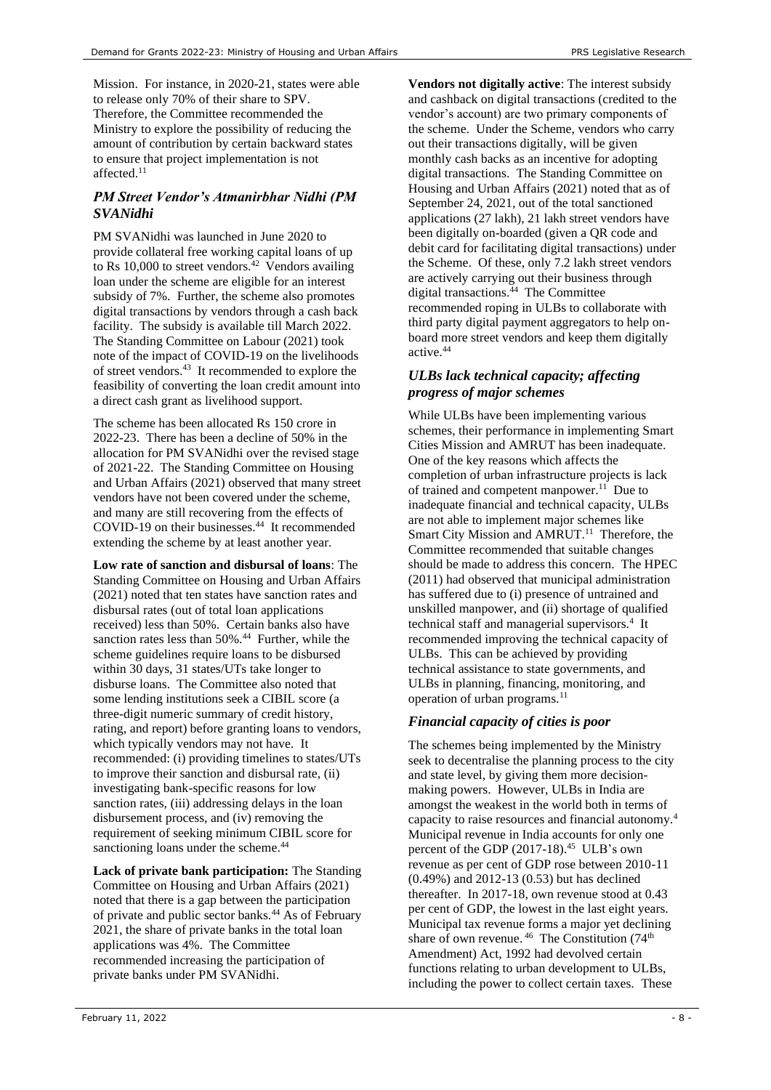Mission. For instance, in 2020-21, states were able to release only 70% of their share to SPV. Therefore, the Committee recommended the Ministry to explore the possibility of reducing the amount of contribution by certain backward states to ensure that project implementation is not affected. [11](#page-2-1)

## *PM Street Vendor's Atmanirbhar Nidhi (PM SVANidhi*

PM SVANidhi was launched in June 2020 to provide collateral free working capital loans of up to Rs 10,000 to street vendors.<sup>42</sup> Vendors availing loan under the scheme are eligible for an interest subsidy of 7%. Further, the scheme also promotes digital transactions by vendors through a cash back facility. The subsidy is available till March 2022. The Standing Committee on Labour (2021) took note of the impact of COVID-19 on the livelihoods of street vendors.<sup>43</sup> It recommended to explore the feasibility of converting the loan credit amount into a direct cash grant as livelihood support.

The scheme has been allocated Rs 150 crore in 2022-23. There has been a decline of 50% in the allocation for PM SVANidhi over the revised stage of 2021-22. The Standing Committee on Housing and Urban Affairs (2021) observed that many street vendors have not been covered under the scheme, and many are still recovering from the effects of COVID-19 on their businesses.<sup>44</sup> It recommended extending the scheme by at least another year.

<span id="page-7-0"></span>**Low rate of sanction and disbursal of loans**: The Standing Committee on Housing and Urban Affairs (2021) noted that ten states have sanction rates and disbursal rates (out of total loan applications received) less than 50%. Certain banks also have sanction rates less than 50%.<sup>[44](#page-7-0)</sup> Further, while the scheme guidelines require loans to be disbursed within 30 days, 31 states/UTs take longer to disburse loans. The Committee also noted that some lending institutions seek a CIBIL score (a three-digit numeric summary of credit history, rating, and report) before granting loans to vendors, which typically vendors may not have. It recommended: (i) providing timelines to states/UTs to improve their sanction and disbursal rate, (ii) investigating bank-specific reasons for low sanction rates, (iii) addressing delays in the loan disbursement process, and (iv) removing the requirement of seeking minimum CIBIL score for sanctioning loans under the scheme.<sup>[44](#page-7-0)</sup>

**Lack of private bank participation:** The Standing Committee on Housing and Urban Affairs (2021) noted that there is a gap between the participation of private and public sector banks.<sup>[44](#page-7-0)</sup> As of February 2021, the share of private banks in the total loan applications was 4%. The Committee recommended increasing the participation of private banks under PM SVANidhi.

**Vendors not digitally active**: The interest subsidy and cashback on digital transactions (credited to the vendor's account) are two primary components of the scheme. Under the Scheme, vendors who carry out their transactions digitally, will be given monthly cash backs as an incentive for adopting digital transactions. The Standing Committee on Housing and Urban Affairs (2021) noted that as of September 24, 2021, out of the total sanctioned applications (27 lakh), 21 lakh street vendors have been digitally on-boarded (given a QR code and debit card for facilitating digital transactions) under the Scheme. Of these, only 7.2 lakh street vendors are actively carrying out their business through digital transactions. [44](#page-7-0) The Committee recommended roping in ULBs to collaborate with third party digital payment aggregators to help onboard more street vendors and keep them digitally active.[44](#page-7-0)

## *ULBs lack technical capacity; affecting progress of major schemes*

While ULBs have been implementing various schemes, their performance in implementing Smart Cities Mission and AMRUT has been inadequate. One of the key reasons which affects the completion of urban infrastructure projects is lack of trained and competent manpower.<sup>[11](#page-2-1)</sup> Due to inadequate financial and technical capacity, ULBs are not able to implement major schemes like Smart City Mission and AMRUT.<sup>[11](#page-2-1)</sup> Therefore, the Committee recommended that suitable changes should be made to address this concern. The HPEC (2011) had observed that municipal administration has suffered due to (i) presence of untrained and unskilled manpower, and (ii) shortage of qualified technicalstaff and managerial supervisors.<sup>4</sup> It recommended improving the technical capacity of ULBs. This can be achieved by providing technical assistance to state governments, and ULBs in planning, financing, monitoring, and operation of urban programs.<sup>[11](#page-2-1)</sup>

# *Financial capacity of cities is poor*

<span id="page-7-1"></span>The schemes being implemented by the Ministry seek to decentralise the planning process to the city and state level, by giving them more decisionmaking powers. However, ULBs in India are amongst the weakest in the world both in terms of capacity to raise resources and financial autonomy.[4](#page-1-1) Municipal revenue in India accounts for only one percent of the GDP (2017-18).<sup>45</sup> ULB's own revenue as per cent of GDP rose between 2010-11 (0.49%) and 2012-13 (0.53) but has declined thereafter. In 2017-18, own revenue stood at 0.43 per cent of GDP, the lowest in the last eight years. Municipal tax revenue forms a major yet declining share of own revenue.<sup>46</sup> The Constitution (74<sup>th</sup>) Amendment) Act, 1992 had devolved certain functions relating to urban development to ULBs, including the power to collect certain taxes. These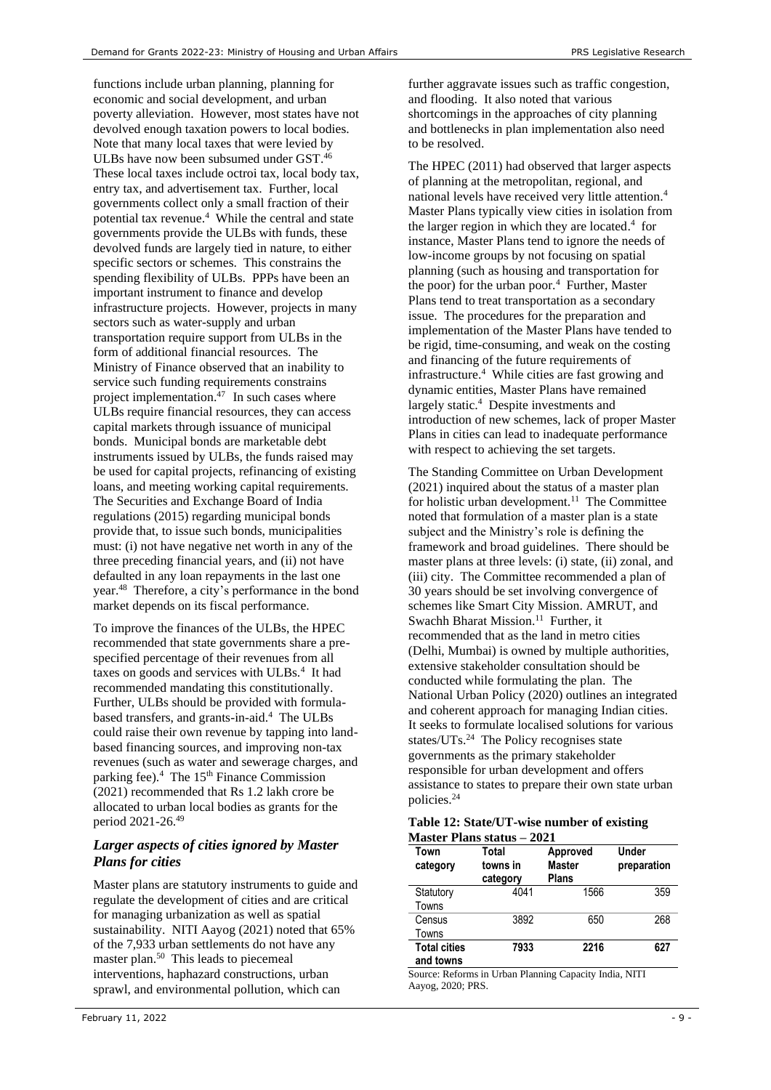functions include urban planning, planning for economic and social development, and urban poverty alleviation. However, most states have not devolved enough taxation powers to local bodies. Note that many local taxes that were levied by ULBs have now been subsumed under GST.<sup>[46](#page-7-1)</sup> These local taxes include octroi tax, local body tax, entry tax, and advertisement tax. Further, local governments collect only a small fraction of their potential tax revenue[.](#page-1-1)<sup>4</sup> While the central and state governments provide the ULBs with funds, these devolved funds are largely tied in nature, to either specific sectors or schemes. This constrains the spending flexibility of ULBs. PPPs have been an important instrument to finance and develop infrastructure projects. However, projects in many sectors such as water-supply and urban transportation require support from ULBs in the form of additional financial resources. The Ministry of Finance observed that an inability to service such funding requirements constrains project implementation. $47$  In such cases where ULBs require financial resources, they can access capital markets through issuance of municipal bonds. Municipal bonds are marketable debt instruments issued by ULBs, the funds raised may be used for capital projects, refinancing of existing loans, and meeting working capital requirements. The Securities and Exchange Board of India regulations (2015) regarding municipal bonds provide that, to issue such bonds, municipalities must: (i) not have negative net worth in any of the three preceding financial years, and (ii) not have defaulted in any loan repayments in the last one year.<sup>48</sup> Therefore, a city's performance in the bond market depends on its fiscal performance.

To improve the finances of the ULBs, the HPEC recommended that state governments share a prespecified percentage of their revenues from all taxeson goods and services with ULBs.<sup>4</sup> It had recommended mandating this constitutionally. Further, ULBs should be provided with formulabased transfers, and grants-in-aid.<sup>4</sup> The ULBs could raise their own revenue by tapping into landbased financing sources, and improving non-tax revenues (such as water and sewerage charges, and parking fee)[.](#page-1-1)<sup>4</sup> The 15<sup>th</sup> Finance Commission (2021) recommended that Rs 1.2 lakh crore be allocated to urban local bodies as grants for the period 2021-26. 49

## *Larger aspects of cities ignored by Master Plans for cities*

Master plans are statutory instruments to guide and regulate the development of cities and are critical for managing urbanization as well as spatial sustainability. NITI Aayog (2021) noted that 65% of the 7,933 urban settlements do not have any master plan.<sup>50</sup> This leads to piecemeal interventions, haphazard constructions, urban sprawl, and environmental pollution, which can

further aggravate issues such as traffic congestion, and flooding. It also noted that various shortcomings in the approaches of city planning and bottlenecks in plan implementation also need to be resolved.

The HPEC (2011) had observed that larger aspects of planning at the metropolitan, regional, and national levels have received very little attention[.](#page-1-1)<sup>4</sup> Master Plans typically view cities in isolation from the larger region in which they are located[.](#page-1-1) 4 for instance, Master Plans tend to ignore the needs of low-income groups by not focusing on spatial planning (such as housing and transportation for thepoor) for the urban poor. $4$  Further, Master Plans tend to treat transportation as a secondary issue. The procedures for the preparation and implementation of the Master Plans have tended to be rigid, time-consuming, and weak on the costing and financing of the future requirements of infrastructur[e.](#page-1-1)<sup>4</sup> While cities are fast growing and dynamic entities, Master Plans have remained largely static. 4 Despite investments and introduction of new schemes, lack of proper Master Plans in cities can lead to inadequate performance with respect to achieving the set targets.

The Standing Committee on Urban Development (2021) inquired about the status of a master plan for holistic urban development.<sup>[11](#page-2-1)</sup> The Committee noted that formulation of a master plan is a state subject and the Ministry's role is defining the framework and broad guidelines. There should be master plans at three levels: (i) state, (ii) zonal, and (iii) city. The Committee recommended a plan of 30 years should be set involving convergence of schemes like Smart City Mission. AMRUT, and Swachh Bharat Mission.<sup>[11](#page-2-1)</sup> Further, it recommended that as the land in metro cities (Delhi, Mumbai) is owned by multiple authorities, extensive stakeholder consultation should be conducted while formulating the plan. The National Urban Policy (2020) outlines an integrated and coherent approach for managing Indian cities. It seeks to formulate localised solutions for various states/UTs.<sup>[24](#page-4-0)</sup> The Policy recognises state governments as the primary stakeholder responsible for urban development and offers assistance to states to prepare their own state urban policies.[24](#page-4-0)

| Table 12: State/UT-wise number of existing |  |
|--------------------------------------------|--|
| Master Plans status – 2021                 |  |

| Town<br>category                 | Total<br>towns in<br>category | Approved<br><b>Master</b><br><b>Plans</b> | Under<br>preparation |
|----------------------------------|-------------------------------|-------------------------------------------|----------------------|
| Statutory<br>Towns               | 4041                          | 1566                                      | 359                  |
| Census<br>Towns                  | 3892                          | 650                                       | 268                  |
| <b>Total cities</b><br>and towns | 7933                          | 2216                                      | 627                  |

Source: Reforms in Urban Planning Capacity India, NITI Aayog, 2020; PRS.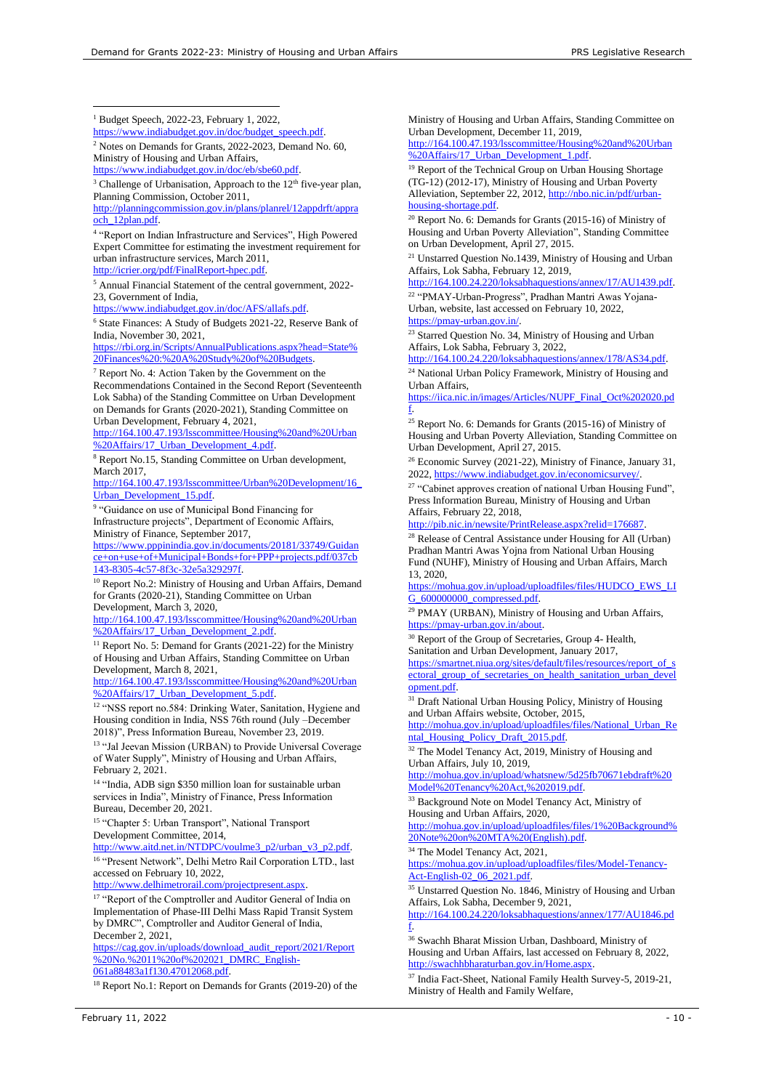<sup>1</sup> Budget Speech, 2022-23, February 1, 2022,

[https://www.indiabudget.gov.in/doc/budget\\_speech.pdf.](https://www.indiabudget.gov.in/doc/budget_speech.pdf)

<sup>2</sup> Notes on Demands for Grants, 2022-2023, Demand No. 60, Ministry of Housing and Urban Affairs, [https://www.indiabudget.gov.in/doc/eb/sbe60.pdf.](https://www.indiabudget.gov.in/doc/eb/sbe60.pdf)

 $3$  Challenge of Urbanisation, Approach to the  $12<sup>th</sup>$  five-year plan, Planning Commission, October 2011,

[http://planningcommission.gov.in/plans/planrel/12appdrft/appra](http://planningcommission.gov.in/plans/planrel/12appdrft/appraoch_12plan.pdf) [och\\_12plan.pdf.](http://planningcommission.gov.in/plans/planrel/12appdrft/appraoch_12plan.pdf)

4 "Report on Indian Infrastructure and Services", High Powered Expert Committee for estimating the investment requirement for urban infrastructure services, March 2011, [http://icrier.org/pdf/FinalReport-hpec.pdf.](http://icrier.org/pdf/FinalReport-hpec.pdf)

<sup>5</sup> Annual Financial Statement of the central government, 2022- 23, Government of India,

[https://www.indiabudget.gov.in/doc/AFS/allafs.pdf.](https://www.indiabudget.gov.in/doc/AFS/allafs.pdf)

<sup>6</sup> State Finances: A Study of Budgets 2021-22, Reserve Bank of India, November 30, 2021,

[https://rbi.org.in/Scripts/AnnualPublications.aspx?head=State%](https://rbi.org.in/Scripts/AnnualPublications.aspx?head=State%20Finances%20:%20A%20Study%20of%20Budgets) [20Finances%20:%20A%20Study%20of%20Budgets.](https://rbi.org.in/Scripts/AnnualPublications.aspx?head=State%20Finances%20:%20A%20Study%20of%20Budgets)

<sup>7</sup> Report No. 4: Action Taken by the Government on the Recommendations Contained in the Second Report (Seventeenth Lok Sabha) of the Standing Committee on Urban Development on Demands for Grants (2020-2021), Standing Committee on Urban Development, February 4, 2021,

[http://164.100.47.193/lsscommittee/Housing%20and%20Urban](http://164.100.47.193/lsscommittee/Housing%20and%20Urban%20Affairs/17_Urban_Development_4.pdf) [%20Affairs/17\\_Urban\\_Development\\_4.pdf.](http://164.100.47.193/lsscommittee/Housing%20and%20Urban%20Affairs/17_Urban_Development_4.pdf)

<sup>8</sup> Report No.15, Standing Committee on Urban development, March 2017,

[http://164.100.47.193/lsscommittee/Urban%20Development/16\\_](http://164.100.47.193/lsscommittee/Urban%20Development/16_Urban_Development_15.pdf) [Urban\\_Development\\_15.pdf.](http://164.100.47.193/lsscommittee/Urban%20Development/16_Urban_Development_15.pdf) 

<sup>9</sup> "Guidance on use of Municipal Bond Financing for Infrastructure projects", Department of Economic Affairs, Ministry of Finance, September 2017,

[https://www.pppinindia.gov.in/documents/20181/33749/Guidan](https://www.pppinindia.gov.in/documents/20181/33749/Guidance+on+use+of+Municipal+Bonds+for+PPP+projects.pdf/037cb143-8305-4c57-8f3c-32e5a329297f) [ce+on+use+of+Municipal+Bonds+for+PPP+projects.pdf/037cb](https://www.pppinindia.gov.in/documents/20181/33749/Guidance+on+use+of+Municipal+Bonds+for+PPP+projects.pdf/037cb143-8305-4c57-8f3c-32e5a329297f) [143-8305-4c57-8f3c-32e5a329297f.](https://www.pppinindia.gov.in/documents/20181/33749/Guidance+on+use+of+Municipal+Bonds+for+PPP+projects.pdf/037cb143-8305-4c57-8f3c-32e5a329297f)

<sup>10</sup> Report No.2: Ministry of Housing and Urban Affairs, Demand for Grants (2020-21), Standing Committee on Urban Development, March 3, 2020,

[http://164.100.47.193/lsscommittee/Housing%20and%20Urban](http://164.100.47.193/lsscommittee/Housing%20and%20Urban%20Affairs/17_Urban_Development_2.pdf) [%20Affairs/17\\_Urban\\_Development\\_2.pdf.](http://164.100.47.193/lsscommittee/Housing%20and%20Urban%20Affairs/17_Urban_Development_2.pdf)

<sup>11</sup> Report No. 5: Demand for Grants (2021-22) for the Ministry of Housing and Urban Affairs, Standing Committee on Urban Development, March 8, 2021,

[http://164.100.47.193/lsscommittee/Housing%20and%20Urban](http://164.100.47.193/lsscommittee/Housing%20and%20Urban%20Affairs/17_Urban_Development_5.pdf) [%20Affairs/17\\_Urban\\_Development\\_5.pdf.](http://164.100.47.193/lsscommittee/Housing%20and%20Urban%20Affairs/17_Urban_Development_5.pdf)

<sup>12</sup> "NSS report no.584: Drinking Water, Sanitation, Hygiene and Housing condition in India, NSS 76th round (July –December 2018)", Press Information Bureau, November 23, 2019.

<sup>13</sup> "Jal Jeevan Mission (URBAN) to Provide Universal Coverage of Water Supply", Ministry of Housing and Urban Affairs, February 2, 2021.

<sup>14</sup> "India, ADB sign \$350 million loan for sustainable urban services in India", Ministry of Finance, Press Information Bureau, December 20, 2021.

<sup>15</sup> "Chapter 5: Urban Transport", National Transport Development Committee, 2014,

[http://www.aitd.net.in/NTDPC/voulme3\\_p2/urban\\_v3\\_p2.pdf.](http://www.aitd.net.in/NTDPC/voulme3_p2/urban_v3_p2.pdf) <sup>16</sup> "Present Network", Delhi Metro Rail Corporation LTD., last accessed on February 10, 2022,

[http://www.delhimetrorail.com/projectpresent.aspx.](http://www.delhimetrorail.com/projectpresent.aspx) 

<sup>17</sup> "Report of the Comptroller and Auditor General of India on Implementation of Phase-III Delhi Mass Rapid Transit System by DMRC", Comptroller and Auditor General of India, December 2, 2021,

[https://cag.gov.in/uploads/download\\_audit\\_report/2021/Report](https://cag.gov.in/uploads/download_audit_report/2021/Report%20No.%2011%20of%202021_DMRC_English-061a88483a1f130.47012068.pdf) [%20No.%2011%20of%202021\\_DMRC\\_English-](https://cag.gov.in/uploads/download_audit_report/2021/Report%20No.%2011%20of%202021_DMRC_English-061a88483a1f130.47012068.pdf)[061a88483a1f130.47012068.pdf.](https://cag.gov.in/uploads/download_audit_report/2021/Report%20No.%2011%20of%202021_DMRC_English-061a88483a1f130.47012068.pdf)

<sup>18</sup> Report No.1: Report on Demands for Grants (2019-20) of the

Ministry of Housing and Urban Affairs, Standing Committee on Urban Development, December 11, 2019,

[http://164.100.47.193/lsscommittee/Housing%20and%20Urban](http://164.100.47.193/lsscommittee/Housing%20and%20Urban%20Affairs/17_Urban_Development_1.pdf) [%20Affairs/17\\_Urban\\_Development\\_1.pdf.](http://164.100.47.193/lsscommittee/Housing%20and%20Urban%20Affairs/17_Urban_Development_1.pdf)

<sup>19</sup> Report of the Technical Group on Urban Housing Shortage (TG-12) (2012-17), Ministry of Housing and Urban Poverty Alleviation, September 22, 2012[, http://nbo.nic.in/pdf/urban](http://nbo.nic.in/pdf/urban-housing-shortage.pdf)[housing-shortage.pdf.](http://nbo.nic.in/pdf/urban-housing-shortage.pdf)

<sup>20</sup> Report No. 6: Demands for Grants (2015-16) of Ministry of Housing and Urban Poverty Alleviation", Standing Committee on Urban Development, April 27, 2015.

<sup>21</sup> Unstarred Question No.1439, Ministry of Housing and Urban Affairs, Lok Sabha, February 12, 2019,

[http://164.100.24.220/loksabhaquestions/annex/17/AU1439.pdf.](http://164.100.24.220/loksabhaquestions/annex/17/AU1439.pdf) 

<sup>22</sup> "PMAY-Urban-Progress", Pradhan Mantri Awas Yojana-Urban, website, last accessed on February 10, 2022, [https://pmay-urban.gov.in/.](https://pmay-urban.gov.in/)

<sup>23</sup> Starred Question No. 34, Ministry of Housing and Urban Affairs, Lok Sabha, February 3, 2022,

[http://164.100.24.220/loksabhaquestions/annex/178/AS34.pdf.](http://164.100.24.220/loksabhaquestions/annex/178/AS34.pdf) <sup>24</sup> National Urban Policy Framework, Ministry of Housing and

Urban Affairs, [https://iica.nic.in/images/Articles/NUPF\\_Final\\_Oct%202020.pd](https://iica.nic.in/images/Articles/NUPF_Final_Oct%202020.pdf)

[f.](https://iica.nic.in/images/Articles/NUPF_Final_Oct%202020.pdf)

<sup>25</sup> Report No. 6: Demands for Grants (2015-16) of Ministry of Housing and Urban Poverty Alleviation, Standing Committee on Urban Development, April 27, 2015.

<sup>26</sup> Economic Survey (2021-22), Ministry of Finance, January 31, 2022[, https://www.indiabudget.gov.in/economicsurvey/.](https://www.indiabudget.gov.in/economicsurvey/)

 $27$  "Cabinet approves creation of national Urban Housing Fund", Press Information Bureau, Ministry of Housing and Urban Affairs, February 22, 2018,

[http://pib.nic.in/newsite/PrintRelease.aspx?relid=176687.](http://pib.nic.in/newsite/PrintRelease.aspx?relid=176687) 

<sup>28</sup> Release of Central Assistance under Housing for All (Urban) Pradhan Mantri Awas Yojna from National Urban Housing Fund (NUHF), Ministry of Housing and Urban Affairs, March 13, 2020,

[https://mohua.gov.in/upload/uploadfiles/files/HUDCO\\_EWS\\_LI](https://mohua.gov.in/upload/uploadfiles/files/HUDCO_EWS_LIG_600000000_compressed.pdf) [G\\_600000000\\_compressed.pdf.](https://mohua.gov.in/upload/uploadfiles/files/HUDCO_EWS_LIG_600000000_compressed.pdf)

<sup>29</sup> PMAY (URBAN), Ministry of Housing and Urban Affairs, [https://pmay-urban.gov.in/about.](https://pmay-urban.gov.in/about)

<sup>30</sup> Report of the Group of Secretaries, Group 4- Health, Sanitation and Urban Development, January 2017, [https://smartnet.niua.org/sites/default/files/resources/report\\_of\\_s](https://smartnet.niua.org/sites/default/files/resources/report_of_sectoral_group_of_secretaries_on_health_sanitation_urban_development.pdf) [ectoral\\_group\\_of\\_secretaries\\_on\\_health\\_sanitation\\_urban\\_devel](https://smartnet.niua.org/sites/default/files/resources/report_of_sectoral_group_of_secretaries_on_health_sanitation_urban_development.pdf) [opment.pdf.](https://smartnet.niua.org/sites/default/files/resources/report_of_sectoral_group_of_secretaries_on_health_sanitation_urban_development.pdf)

<sup>31</sup> Draft National Urban Housing Policy, Ministry of Housing and Urban Affairs website, October, 2015,

[http://mohua.gov.in/upload/uploadfiles/files/National\\_Urban\\_Re](http://mohua.gov.in/upload/uploadfiles/files/National_Urban_Rental_Housing_Policy_Draft_2015.pdf) [ntal\\_Housing\\_Policy\\_Draft\\_2015.pdf.](http://mohua.gov.in/upload/uploadfiles/files/National_Urban_Rental_Housing_Policy_Draft_2015.pdf)

<sup>32</sup> The Model Tenancy Act, 2019, Ministry of Housing and Urban Affairs, July 10, 2019,

[http://mohua.gov.in/upload/whatsnew/5d25fb70671ebdraft%20](http://mohua.gov.in/upload/whatsnew/5d25fb70671ebdraft%20Model%20Tenancy%20Act,%202019.pdf.) [Model%20Tenancy%20Act,%202019.pdf.](http://mohua.gov.in/upload/whatsnew/5d25fb70671ebdraft%20Model%20Tenancy%20Act,%202019.pdf.)

<sup>33</sup> Background Note on Model Tenancy Act, Ministry of Housing and Urban Affairs, 2020,

[http://mohua.gov.in/upload/uploadfiles/files/1%20Background%](http://mohua.gov.in/upload/uploadfiles/files/1%20Background%20Note%20on%20MTA%20(English).pdf) [20Note%20on%20MTA%20\(English\).pdf.](http://mohua.gov.in/upload/uploadfiles/files/1%20Background%20Note%20on%20MTA%20(English).pdf)

<sup>34</sup> The Model Tenancy Act, 2021,

[https://mohua.gov.in/upload/uploadfiles/files/Model-Tenancy-](https://mohua.gov.in/upload/uploadfiles/files/Model-Tenancy-Act-English-02_06_2021.pdf)[Act-English-02\\_06\\_2021.pdf.](https://mohua.gov.in/upload/uploadfiles/files/Model-Tenancy-Act-English-02_06_2021.pdf) 

<sup>35</sup> Unstarred Question No. 1846, Ministry of Housing and Urban Affairs, Lok Sabha, December 9, 2021,

[http://164.100.24.220/loksabhaquestions/annex/177/AU1846.pd](http://164.100.24.220/loksabhaquestions/annex/177/AU1846.pdf) [f.](http://164.100.24.220/loksabhaquestions/annex/177/AU1846.pdf)

<sup>36</sup> Swachh Bharat Mission Urban, Dashboard, Ministry of Housing and Urban Affairs, last accessed on February 8, 2022, [http://swachhbharaturban.gov.in/Home.aspx.](http://swachhbharaturban.gov.in/Home.aspx)

<sup>37</sup> India Fact-Sheet, National Family Health Survey-5, 2019-21, Ministry of Health and Family Welfare,